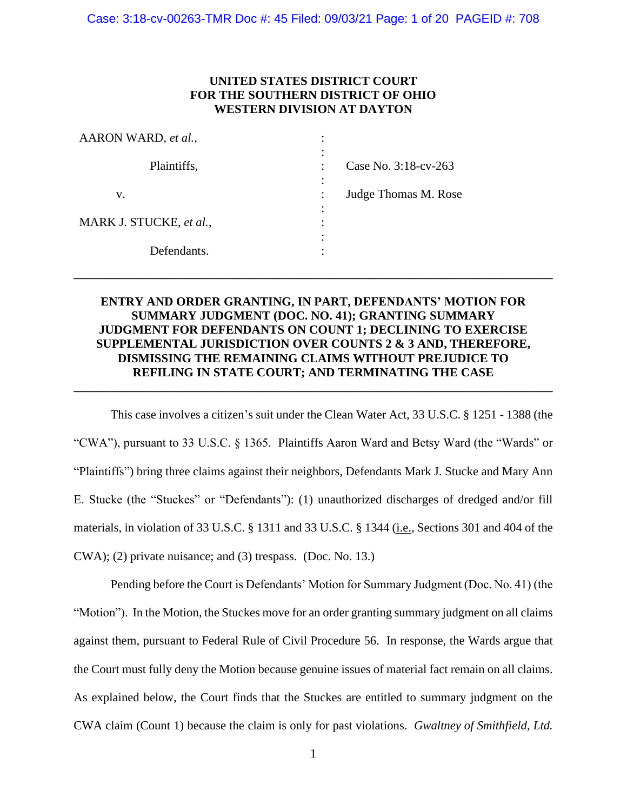## **UNITED STATES DISTRICT COURT FOR THE SOUTHERN DISTRICT OF OHIO WESTERN DIVISION AT DAYTON**

| AARON WARD, et al.,     | ٠                      |
|-------------------------|------------------------|
|                         | ٠<br>$\bullet$         |
| Plaintiffs,             | Case No. 3:18-cv-263   |
|                         | $\bullet$<br>$\bullet$ |
| v.                      | Judge Thomas M. Rose   |
|                         | $\bullet$              |
| MARK J. STUCKE, et al., | ٠                      |
|                         | ٠                      |
| Defendants.             |                        |
|                         |                        |

# **ENTRY AND ORDER GRANTING, IN PART, DEFENDANTS' MOTION FOR SUMMARY JUDGMENT (DOC. NO. 41); GRANTING SUMMARY JUDGMENT FOR DEFENDANTS ON COUNT 1; DECLINING TO EXERCISE SUPPLEMENTAL JURISDICTION OVER COUNTS 2 & 3 AND, THEREFORE, DISMISSING THE REMAINING CLAIMS WITHOUT PREJUDICE TO REFILING IN STATE COURT; AND TERMINATING THE CASE**

**\_\_\_\_\_\_\_\_\_\_\_\_\_\_\_\_\_\_\_\_\_\_\_\_\_\_\_\_\_\_\_\_\_\_\_\_\_\_\_\_\_\_\_\_\_\_\_\_\_\_\_\_\_\_\_\_\_\_\_\_\_\_\_\_\_\_\_\_\_\_\_\_\_\_\_\_\_\_**

**\_\_\_\_\_\_\_\_\_\_\_\_\_\_\_\_\_\_\_\_\_\_\_\_\_\_\_\_\_\_\_\_\_\_\_\_\_\_\_\_\_\_\_\_\_\_\_\_\_\_\_\_\_\_\_\_\_\_\_\_\_\_\_\_\_\_\_\_\_\_\_\_\_\_\_\_\_\_**

This case involves a citizen's suit under the Clean Water Act, 33 U.S.C. § 1251 - 1388 (the "CWA"), pursuant to 33 U.S.C. § 1365. Plaintiffs Aaron Ward and Betsy Ward (the "Wards" or "Plaintiffs") bring three claims against their neighbors, Defendants Mark J. Stucke and Mary Ann E. Stucke (the "Stuckes" or "Defendants"): (1) unauthorized discharges of dredged and/or fill materials, in violation of 33 U.S.C. § 1311 and 33 U.S.C. § 1344 (i.e., Sections 301 and 404 of the CWA); (2) private nuisance; and (3) trespass. (Doc. No. 13.)

Pending before the Court is Defendants' Motion for Summary Judgment (Doc. No. 41) (the "Motion"). In the Motion, the Stuckes move for an order granting summary judgment on all claims against them, pursuant to Federal Rule of Civil Procedure 56. In response, the Wards argue that the Court must fully deny the Motion because genuine issues of material fact remain on all claims. As explained below, the Court finds that the Stuckes are entitled to summary judgment on the CWA claim (Count 1) because the claim is only for past violations. *Gwaltney of Smithfield, Ltd.*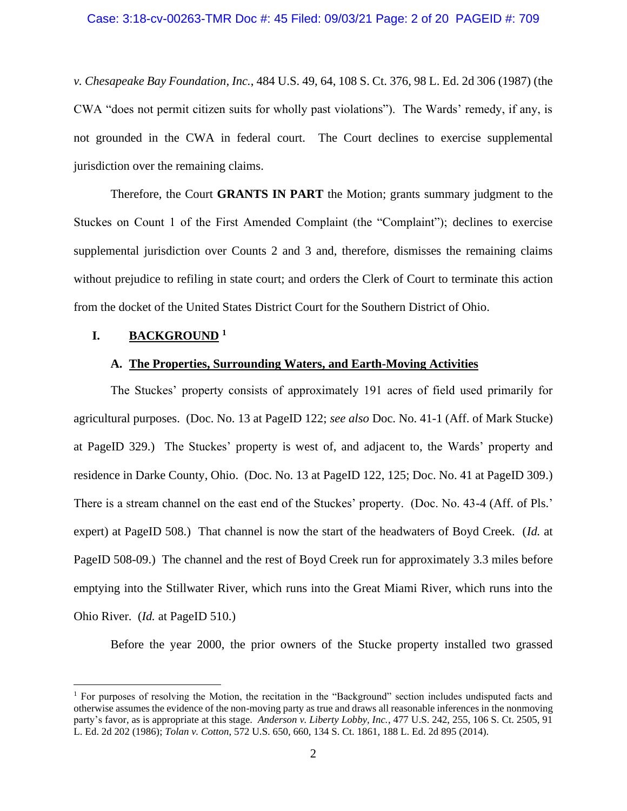#### Case: 3:18-cv-00263-TMR Doc #: 45 Filed: 09/03/21 Page: 2 of 20 PAGEID #: 709

*v. Chesapeake Bay Foundation, Inc.*, 484 U.S. 49, 64, 108 S. Ct. 376, 98 L. Ed. 2d 306 (1987) (the CWA "does not permit citizen suits for wholly past violations"). The Wards' remedy, if any, is not grounded in the CWA in federal court. The Court declines to exercise supplemental jurisdiction over the remaining claims.

Therefore, the Court **GRANTS IN PART** the Motion; grants summary judgment to the Stuckes on Count 1 of the First Amended Complaint (the "Complaint"); declines to exercise supplemental jurisdiction over Counts 2 and 3 and, therefore, dismisses the remaining claims without prejudice to refiling in state court; and orders the Clerk of Court to terminate this action from the docket of the United States District Court for the Southern District of Ohio.

## **I. BACKGROUND <sup>1</sup>**

## **A. The Properties, Surrounding Waters, and Earth-Moving Activities**

The Stuckes' property consists of approximately 191 acres of field used primarily for agricultural purposes. (Doc. No. 13 at PageID 122; *see also* Doc. No. 41-1 (Aff. of Mark Stucke) at PageID 329.) The Stuckes' property is west of, and adjacent to, the Wards' property and residence in Darke County, Ohio. (Doc. No. 13 at PageID 122, 125; Doc. No. 41 at PageID 309.) There is a stream channel on the east end of the Stuckes' property. (Doc. No. 43-4 (Aff. of Pls.' expert) at PageID 508.) That channel is now the start of the headwaters of Boyd Creek. (*Id.* at PageID 508-09.) The channel and the rest of Boyd Creek run for approximately 3.3 miles before emptying into the Stillwater River, which runs into the Great Miami River, which runs into the Ohio River. (*Id.* at PageID 510.)

Before the year 2000, the prior owners of the Stucke property installed two grassed

<sup>&</sup>lt;sup>1</sup> For purposes of resolving the Motion, the recitation in the "Background" section includes undisputed facts and otherwise assumes the evidence of the non-moving party as true and draws all reasonable inferences in the nonmoving party's favor, as is appropriate at this stage. *Anderson v. Liberty Lobby, Inc.*, 477 U.S. 242, 255, 106 S. Ct. 2505, 91 L. Ed. 2d 202 (1986); *Tolan v. Cotton*, 572 U.S. 650, 660, 134 S. Ct. 1861, 188 L. Ed. 2d 895 (2014).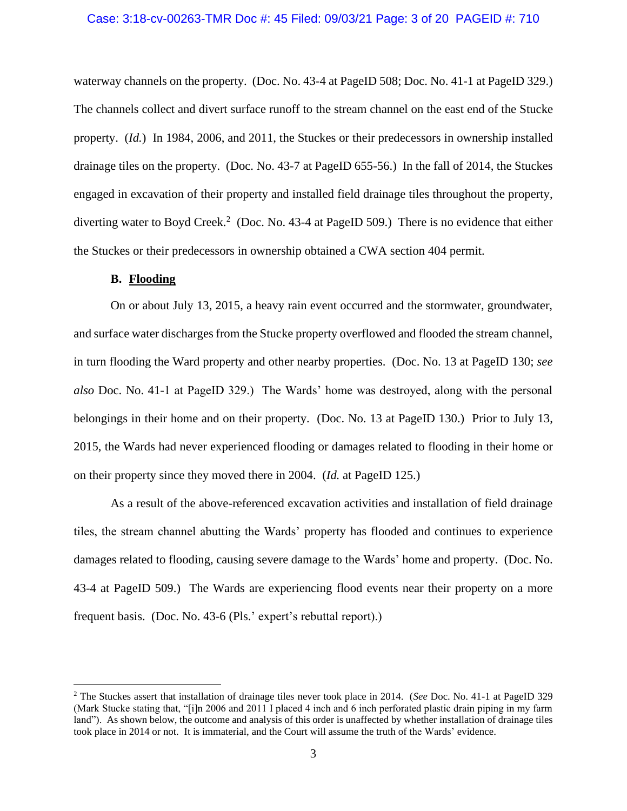### Case: 3:18-cv-00263-TMR Doc #: 45 Filed: 09/03/21 Page: 3 of 20 PAGEID #: 710

waterway channels on the property. (Doc. No. 43-4 at PageID 508; Doc. No. 41-1 at PageID 329.) The channels collect and divert surface runoff to the stream channel on the east end of the Stucke property. (*Id.*) In 1984, 2006, and 2011, the Stuckes or their predecessors in ownership installed drainage tiles on the property. (Doc. No. 43-7 at PageID 655-56.) In the fall of 2014, the Stuckes engaged in excavation of their property and installed field drainage tiles throughout the property, diverting water to Boyd Creek.<sup>2</sup> (Doc. No. 43-4 at PageID 509.) There is no evidence that either the Stuckes or their predecessors in ownership obtained a CWA section 404 permit.

### **B. Flooding**

On or about July 13, 2015, a heavy rain event occurred and the stormwater, groundwater, and surface water discharges from the Stucke property overflowed and flooded the stream channel, in turn flooding the Ward property and other nearby properties. (Doc. No. 13 at PageID 130; *see also* Doc. No. 41-1 at PageID 329.) The Wards' home was destroyed, along with the personal belongings in their home and on their property. (Doc. No. 13 at PageID 130.) Prior to July 13, 2015, the Wards had never experienced flooding or damages related to flooding in their home or on their property since they moved there in 2004. (*Id.* at PageID 125.)

As a result of the above-referenced excavation activities and installation of field drainage tiles, the stream channel abutting the Wards' property has flooded and continues to experience damages related to flooding, causing severe damage to the Wards' home and property. (Doc. No. 43-4 at PageID 509.) The Wards are experiencing flood events near their property on a more frequent basis. (Doc. No. 43-6 (Pls.' expert's rebuttal report).)

<sup>2</sup> The Stuckes assert that installation of drainage tiles never took place in 2014. (*See* Doc. No. 41-1 at PageID 329 (Mark Stucke stating that, "[i]n 2006 and 2011 I placed 4 inch and 6 inch perforated plastic drain piping in my farm land"). As shown below, the outcome and analysis of this order is unaffected by whether installation of drainage tiles took place in 2014 or not. It is immaterial, and the Court will assume the truth of the Wards' evidence.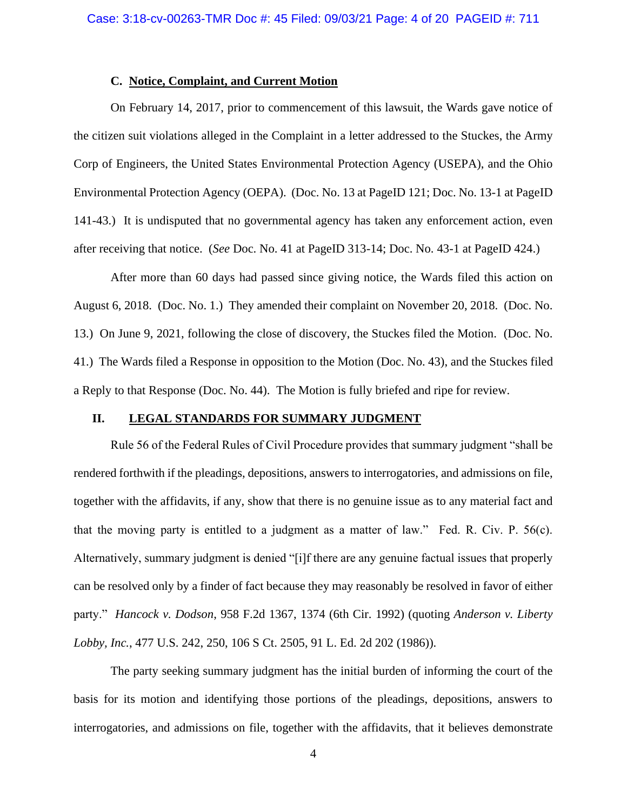## **C. Notice, Complaint, and Current Motion**

On February 14, 2017, prior to commencement of this lawsuit, the Wards gave notice of the citizen suit violations alleged in the Complaint in a letter addressed to the Stuckes, the Army Corp of Engineers, the United States Environmental Protection Agency (USEPA), and the Ohio Environmental Protection Agency (OEPA). (Doc. No. 13 at PageID 121; Doc. No. 13-1 at PageID 141-43.) It is undisputed that no governmental agency has taken any enforcement action, even after receiving that notice. (*See* Doc. No. 41 at PageID 313-14; Doc. No. 43-1 at PageID 424.)

After more than 60 days had passed since giving notice, the Wards filed this action on August 6, 2018. (Doc. No. 1.) They amended their complaint on November 20, 2018. (Doc. No. 13.) On June 9, 2021, following the close of discovery, the Stuckes filed the Motion. (Doc. No. 41.) The Wards filed a Response in opposition to the Motion (Doc. No. 43), and the Stuckes filed a Reply to that Response (Doc. No. 44). The Motion is fully briefed and ripe for review.

## **II. LEGAL STANDARDS FOR SUMMARY JUDGMENT**

Rule 56 of the Federal Rules of Civil Procedure provides that summary judgment "shall be rendered forthwith if the pleadings, depositions, answers to interrogatories, and admissions on file, together with the affidavits, if any, show that there is no genuine issue as to any material fact and that the moving party is entitled to a judgment as a matter of law." Fed. R. Civ. P. 56(c). Alternatively, summary judgment is denied "[i]f there are any genuine factual issues that properly can be resolved only by a finder of fact because they may reasonably be resolved in favor of either party." *Hancock v. Dodson*, 958 F.2d 1367, 1374 (6th Cir. 1992) (quoting *Anderson v. Liberty Lobby, Inc.*, 477 U.S. 242, 250, 106 S Ct. 2505, 91 L. Ed. 2d 202 (1986)).

The party seeking summary judgment has the initial burden of informing the court of the basis for its motion and identifying those portions of the pleadings, depositions, answers to interrogatories, and admissions on file, together with the affidavits, that it believes demonstrate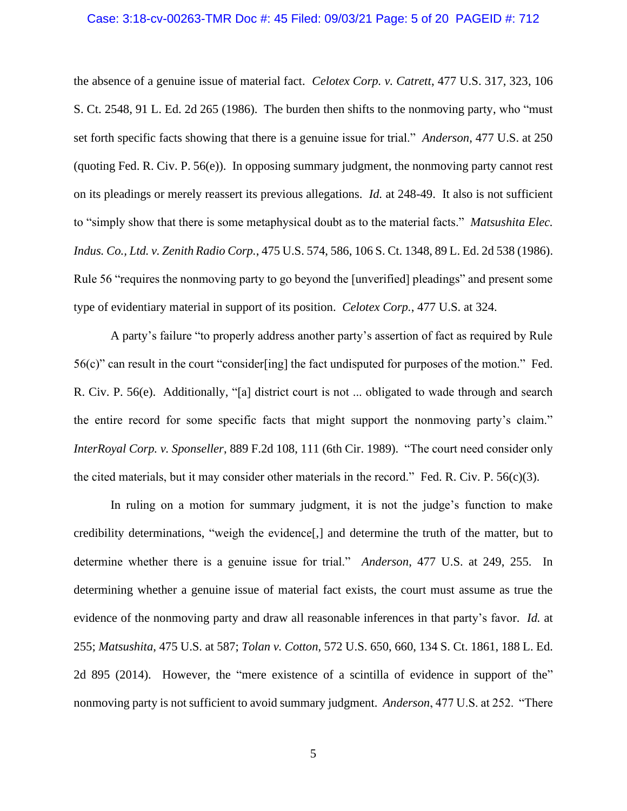### Case: 3:18-cv-00263-TMR Doc #: 45 Filed: 09/03/21 Page: 5 of 20 PAGEID #: 712

the absence of a genuine issue of material fact. *Celotex Corp. v. Catrett*, 477 U.S. 317, 323, 106 S. Ct. 2548, 91 L. Ed. 2d 265 (1986). The burden then shifts to the nonmoving party, who "must set forth specific facts showing that there is a genuine issue for trial." *Anderson*, 477 U.S. at 250 (quoting Fed. R. Civ. P. 56(e)). In opposing summary judgment, the nonmoving party cannot rest on its pleadings or merely reassert its previous allegations. *Id.* at 248-49. It also is not sufficient to "simply show that there is some metaphysical doubt as to the material facts." *Matsushita Elec. Indus. Co., Ltd. v. Zenith Radio Corp.*, 475 U.S. 574, 586, 106 S. Ct. 1348, 89 L. Ed. 2d 538 (1986). Rule 56 "requires the nonmoving party to go beyond the [unverified] pleadings" and present some type of evidentiary material in support of its position. *Celotex Corp.*, 477 U.S. at 324.

A party's failure "to properly address another party's assertion of fact as required by Rule 56(c)" can result in the court "consider[ing] the fact undisputed for purposes of the motion." Fed. R. Civ. P. 56(e). Additionally, "[a] district court is not ... obligated to wade through and search the entire record for some specific facts that might support the nonmoving party's claim." *InterRoyal Corp. v. Sponseller*, 889 F.2d 108, 111 (6th Cir. 1989). "The court need consider only the cited materials, but it may consider other materials in the record." Fed. R. Civ. P.  $56(c)(3)$ .

In ruling on a motion for summary judgment, it is not the judge's function to make credibility determinations, "weigh the evidence[,] and determine the truth of the matter, but to determine whether there is a genuine issue for trial." *Anderson*, 477 U.S. at 249, 255. In determining whether a genuine issue of material fact exists, the court must assume as true the evidence of the nonmoving party and draw all reasonable inferences in that party's favor. *Id.* at 255; *Matsushita*, 475 U.S. at 587; *Tolan v. Cotton*, 572 U.S. 650, 660, 134 S. Ct. 1861, 188 L. Ed. 2d 895 (2014). However, the "mere existence of a scintilla of evidence in support of the" nonmoving party is not sufficient to avoid summary judgment. *Anderson*, 477 U.S. at 252. "There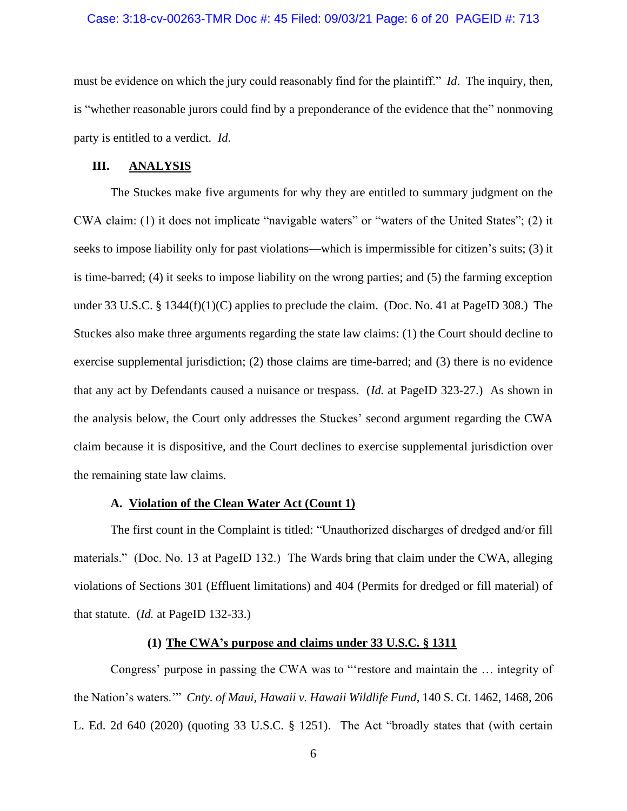### Case: 3:18-cv-00263-TMR Doc #: 45 Filed: 09/03/21 Page: 6 of 20 PAGEID #: 713

must be evidence on which the jury could reasonably find for the plaintiff." *Id*. The inquiry, then, is "whether reasonable jurors could find by a preponderance of the evidence that the" nonmoving party is entitled to a verdict. *Id*.

#### **III. ANALYSIS**

The Stuckes make five arguments for why they are entitled to summary judgment on the CWA claim: (1) it does not implicate "navigable waters" or "waters of the United States"; (2) it seeks to impose liability only for past violations—which is impermissible for citizen's suits; (3) it is time-barred; (4) it seeks to impose liability on the wrong parties; and (5) the farming exception under 33 U.S.C. § 1344 $(f)(1)(C)$  applies to preclude the claim. (Doc. No. 41 at PageID 308.) The Stuckes also make three arguments regarding the state law claims: (1) the Court should decline to exercise supplemental jurisdiction; (2) those claims are time-barred; and (3) there is no evidence that any act by Defendants caused a nuisance or trespass. (*Id.* at PageID 323-27.) As shown in the analysis below, the Court only addresses the Stuckes' second argument regarding the CWA claim because it is dispositive, and the Court declines to exercise supplemental jurisdiction over the remaining state law claims.

### **A. Violation of the Clean Water Act (Count 1)**

The first count in the Complaint is titled: "Unauthorized discharges of dredged and/or fill materials." (Doc. No. 13 at PageID 132.) The Wards bring that claim under the CWA, alleging violations of Sections 301 (Effluent limitations) and 404 (Permits for dredged or fill material) of that statute. (*Id.* at PageID 132-33.)

## **(1) The CWA's purpose and claims under 33 U.S.C. § 1311**

Congress' purpose in passing the CWA was to "'restore and maintain the … integrity of the Nation's waters.'" *Cnty. of Maui, Hawaii v. Hawaii Wildlife Fund*, 140 S. Ct. 1462, 1468, 206 L. Ed. 2d 640 (2020) (quoting 33 U.S.C. § 1251). The Act "broadly states that (with certain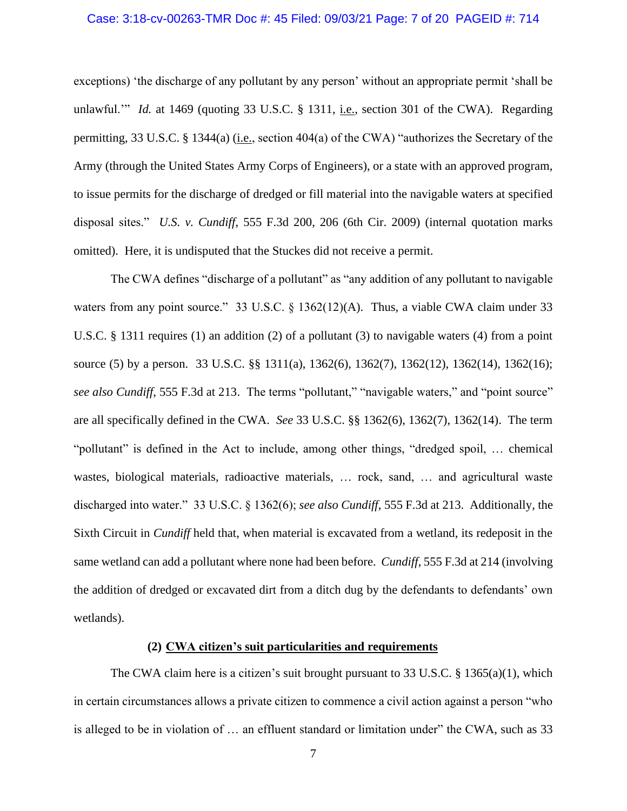### Case: 3:18-cv-00263-TMR Doc #: 45 Filed: 09/03/21 Page: 7 of 20 PAGEID #: 714

exceptions) 'the discharge of any pollutant by any person' without an appropriate permit 'shall be unlawful.'" *Id.* at 1469 (quoting 33 U.S.C. § 1311, i.e., section 301 of the CWA). Regarding permitting, 33 U.S.C. § 1344(a) (i.e., section 404(a) of the CWA) "authorizes the Secretary of the Army (through the United States Army Corps of Engineers), or a state with an approved program, to issue permits for the discharge of dredged or fill material into the navigable waters at specified disposal sites." *U.S. v. Cundiff*, 555 F.3d 200, 206 (6th Cir. 2009) (internal quotation marks omitted). Here, it is undisputed that the Stuckes did not receive a permit.

The CWA defines "discharge of a pollutant" as "any addition of any pollutant to navigable waters from any point source." 33 U.S.C. § 1362(12)(A). Thus, a viable CWA claim under 33 U.S.C. § 1311 requires (1) an addition (2) of a pollutant (3) to navigable waters (4) from a point source (5) by a person. 33 U.S.C. §§ 1311(a), 1362(6), 1362(7), 1362(12), 1362(14), 1362(16); *see also Cundiff*, 555 F.3d at 213. The terms "pollutant," "navigable waters," and "point source" are all specifically defined in the CWA. *See* 33 U.S.C. §§ 1362(6), 1362(7), 1362(14). The term "pollutant" is defined in the Act to include, among other things, "dredged spoil, … chemical wastes, biological materials, radioactive materials, … rock, sand, … and agricultural waste discharged into water." 33 U.S.C. § 1362(6); *see also Cundiff*, 555 F.3d at 213. Additionally, the Sixth Circuit in *Cundiff* held that, when material is excavated from a wetland, its redeposit in the same wetland can add a pollutant where none had been before. *Cundiff*, 555 F.3d at 214 (involving the addition of dredged or excavated dirt from a ditch dug by the defendants to defendants' own wetlands).

### **(2) CWA citizen's suit particularities and requirements**

The CWA claim here is a citizen's suit brought pursuant to 33 U.S.C. § 1365(a)(1), which in certain circumstances allows a private citizen to commence a civil action against a person "who is alleged to be in violation of … an effluent standard or limitation under" the CWA, such as 33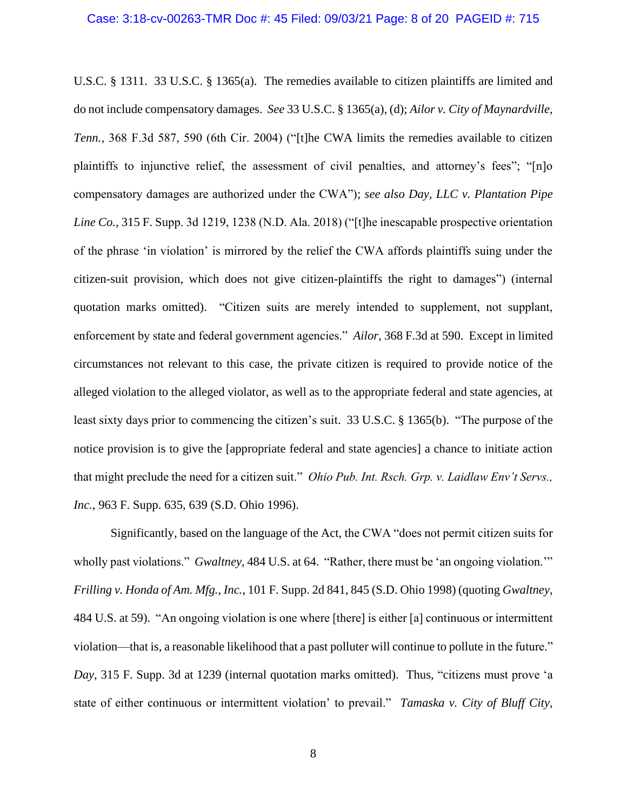U.S.C. § 1311. 33 U.S.C. § 1365(a). The remedies available to citizen plaintiffs are limited and do not include compensatory damages. *See* 33 U.S.C. § 1365(a), (d); *Ailor v. City of Maynardville, Tenn.*, 368 F.3d 587, 590 (6th Cir. 2004) ("[t]he CWA limits the remedies available to citizen plaintiffs to injunctive relief, the assessment of civil penalties, and attorney's fees"; "[n]o compensatory damages are authorized under the CWA"); *see also Day, LLC v. Plantation Pipe Line Co.*, 315 F. Supp. 3d 1219, 1238 (N.D. Ala. 2018) ("[t]he inescapable prospective orientation of the phrase 'in violation' is mirrored by the relief the CWA affords plaintiffs suing under the citizen-suit provision, which does not give citizen-plaintiffs the right to damages") (internal quotation marks omitted). "Citizen suits are merely intended to supplement, not supplant, enforcement by state and federal government agencies." *Ailor*, 368 F.3d at 590. Except in limited circumstances not relevant to this case, the private citizen is required to provide notice of the alleged violation to the alleged violator, as well as to the appropriate federal and state agencies, at least sixty days prior to commencing the citizen's suit. 33 U.S.C. § 1365(b). "The purpose of the notice provision is to give the [appropriate federal and state agencies] a chance to initiate action that might preclude the need for a citizen suit." *Ohio Pub. Int. Rsch. Grp. v. Laidlaw Env't Servs., Inc.*, 963 F. Supp. 635, 639 (S.D. Ohio 1996).

Significantly, based on the language of the Act, the CWA "does not permit citizen suits for wholly past violations." *Gwaltney*, 484 U.S. at 64. "Rather, there must be 'an ongoing violation.'" *Frilling v. Honda of Am. Mfg., Inc.*, 101 F. Supp. 2d 841, 845 (S.D. Ohio 1998) (quoting *Gwaltney*, 484 U.S. at 59). "An ongoing violation is one where [there] is either [a] continuous or intermittent violation—that is, a reasonable likelihood that a past polluter will continue to pollute in the future." *Day*, 315 F. Supp. 3d at 1239 (internal quotation marks omitted). Thus, "citizens must prove 'a state of either continuous or intermittent violation' to prevail." *Tamaska v. City of Bluff City,*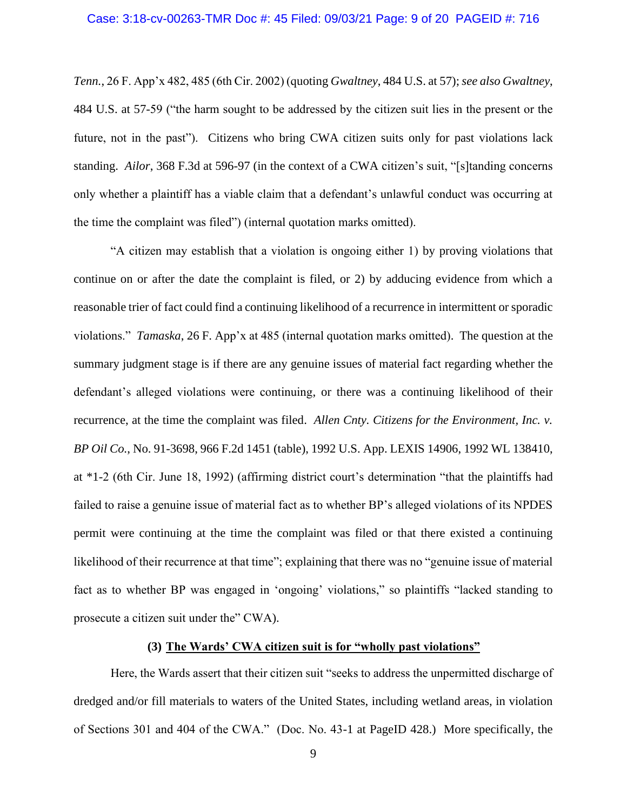*Tenn.*, 26 F. App'x 482, 485 (6th Cir. 2002) (quoting *Gwaltney*, 484 U.S. at 57); *see also Gwaltney*, 484 U.S. at 57-59 ("the harm sought to be addressed by the citizen suit lies in the present or the future, not in the past"). Citizens who bring CWA citizen suits only for past violations lack standing. *Ailor*, 368 F.3d at 596-97 (in the context of a CWA citizen's suit, "[s]tanding concerns only whether a plaintiff has a viable claim that a defendant's unlawful conduct was occurring at the time the complaint was filed") (internal quotation marks omitted).

"A citizen may establish that a violation is ongoing either 1) by proving violations that continue on or after the date the complaint is filed, or 2) by adducing evidence from which a reasonable trier of fact could find a continuing likelihood of a recurrence in intermittent or sporadic violations." *Tamaska*, 26 F. App'x at 485 (internal quotation marks omitted). The question at the summary judgment stage is if there are any genuine issues of material fact regarding whether the defendant's alleged violations were continuing, or there was a continuing likelihood of their recurrence, at the time the complaint was filed. *Allen Cnty. Citizens for the Environment, Inc. v. BP Oil Co.*, No. 91-3698, 966 F.2d 1451 (table), 1992 U.S. App. LEXIS 14906, 1992 WL 138410, at \*1-2 (6th Cir. June 18, 1992) (affirming district court's determination "that the plaintiffs had failed to raise a genuine issue of material fact as to whether BP's alleged violations of its NPDES permit were continuing at the time the complaint was filed or that there existed a continuing likelihood of their recurrence at that time"; explaining that there was no "genuine issue of material fact as to whether BP was engaged in 'ongoing' violations," so plaintiffs "lacked standing to prosecute a citizen suit under the" CWA).

### **(3) The Wards' CWA citizen suit is for "wholly past violations"**

Here, the Wards assert that their citizen suit "seeks to address the unpermitted discharge of dredged and/or fill materials to waters of the United States, including wetland areas, in violation of Sections 301 and 404 of the CWA." (Doc. No. 43-1 at PageID 428.) More specifically, the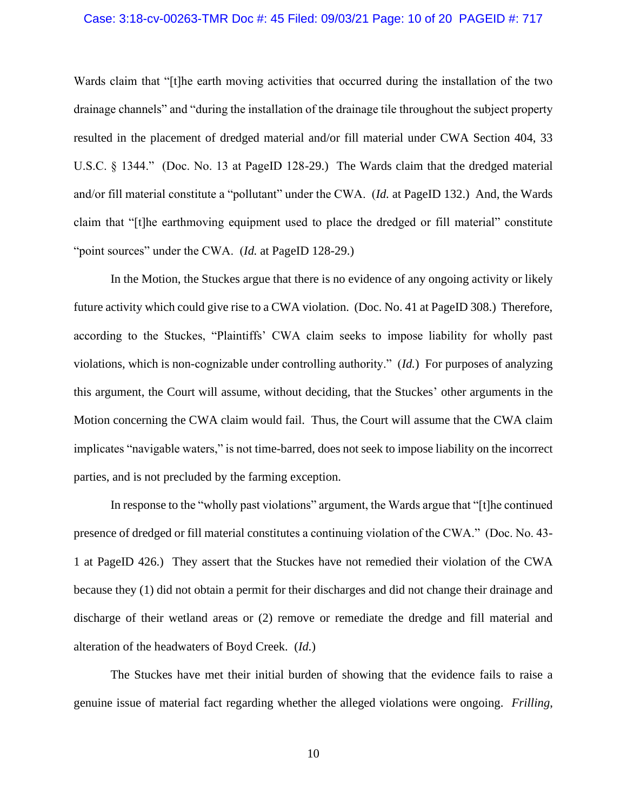### Case: 3:18-cv-00263-TMR Doc #: 45 Filed: 09/03/21 Page: 10 of 20 PAGEID #: 717

Wards claim that "[t]he earth moving activities that occurred during the installation of the two drainage channels" and "during the installation of the drainage tile throughout the subject property resulted in the placement of dredged material and/or fill material under CWA Section 404, 33 U.S.C. § 1344." (Doc. No. 13 at PageID 128-29.) The Wards claim that the dredged material and/or fill material constitute a "pollutant" under the CWA. (*Id.* at PageID 132.) And, the Wards claim that "[t]he earthmoving equipment used to place the dredged or fill material" constitute "point sources" under the CWA. (*Id.* at PageID 128-29.)

In the Motion, the Stuckes argue that there is no evidence of any ongoing activity or likely future activity which could give rise to a CWA violation. (Doc. No. 41 at PageID 308.) Therefore, according to the Stuckes, "Plaintiffs' CWA claim seeks to impose liability for wholly past violations, which is non-cognizable under controlling authority." (*Id.*) For purposes of analyzing this argument, the Court will assume, without deciding, that the Stuckes' other arguments in the Motion concerning the CWA claim would fail. Thus, the Court will assume that the CWA claim implicates "navigable waters," is not time-barred, does not seek to impose liability on the incorrect parties, and is not precluded by the farming exception.

In response to the "wholly past violations" argument, the Wards argue that "[t]he continued presence of dredged or fill material constitutes a continuing violation of the CWA." (Doc. No. 43- 1 at PageID 426.) They assert that the Stuckes have not remedied their violation of the CWA because they (1) did not obtain a permit for their discharges and did not change their drainage and discharge of their wetland areas or (2) remove or remediate the dredge and fill material and alteration of the headwaters of Boyd Creek. (*Id.*)

The Stuckes have met their initial burden of showing that the evidence fails to raise a genuine issue of material fact regarding whether the alleged violations were ongoing. *Frilling*,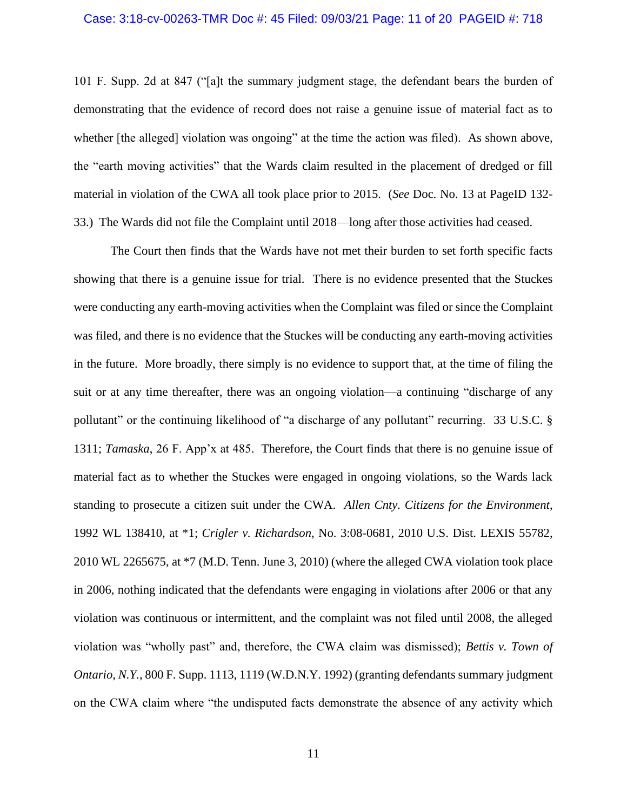101 F. Supp. 2d at 847 ("[a]t the summary judgment stage, the defendant bears the burden of demonstrating that the evidence of record does not raise a genuine issue of material fact as to whether [the alleged] violation was ongoing" at the time the action was filed). As shown above, the "earth moving activities" that the Wards claim resulted in the placement of dredged or fill material in violation of the CWA all took place prior to 2015. (*See* Doc. No. 13 at PageID 132- 33.) The Wards did not file the Complaint until 2018—long after those activities had ceased.

The Court then finds that the Wards have not met their burden to set forth specific facts showing that there is a genuine issue for trial. There is no evidence presented that the Stuckes were conducting any earth-moving activities when the Complaint was filed or since the Complaint was filed, and there is no evidence that the Stuckes will be conducting any earth-moving activities in the future. More broadly, there simply is no evidence to support that, at the time of filing the suit or at any time thereafter, there was an ongoing violation—a continuing "discharge of any pollutant" or the continuing likelihood of "a discharge of any pollutant" recurring. 33 U.S.C. § 1311; *Tamaska*, 26 F. App'x at 485. Therefore, the Court finds that there is no genuine issue of material fact as to whether the Stuckes were engaged in ongoing violations, so the Wards lack standing to prosecute a citizen suit under the CWA. *Allen Cnty. Citizens for the Environment*, 1992 WL 138410, at \*1; *Crigler v. Richardson*, No. 3:08-0681, 2010 U.S. Dist. LEXIS 55782, 2010 WL 2265675, at \*7 (M.D. Tenn. June 3, 2010) (where the alleged CWA violation took place in 2006, nothing indicated that the defendants were engaging in violations after 2006 or that any violation was continuous or intermittent, and the complaint was not filed until 2008, the alleged violation was "wholly past" and, therefore, the CWA claim was dismissed); *Bettis v. Town of Ontario, N.Y.*, 800 F. Supp. 1113, 1119 (W.D.N.Y. 1992) (granting defendants summary judgment on the CWA claim where "the undisputed facts demonstrate the absence of any activity which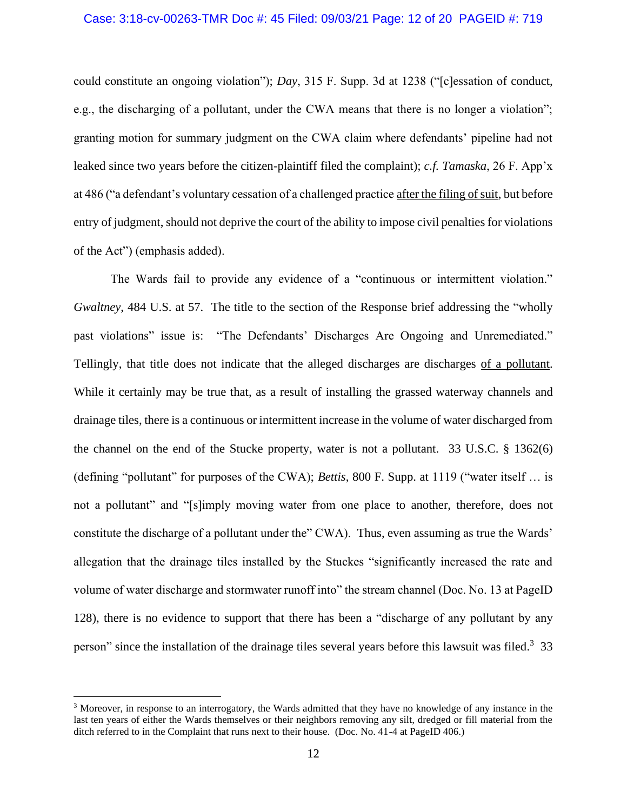could constitute an ongoing violation"); *Day*, 315 F. Supp. 3d at 1238 ("[c]essation of conduct, e.g., the discharging of a pollutant, under the CWA means that there is no longer a violation"; granting motion for summary judgment on the CWA claim where defendants' pipeline had not leaked since two years before the citizen-plaintiff filed the complaint); *c.f. Tamaska*, 26 F. App'x at 486 ("a defendant's voluntary cessation of a challenged practice after the filing of suit, but before entry of judgment, should not deprive the court of the ability to impose civil penalties for violations of the Act") (emphasis added).

The Wards fail to provide any evidence of a "continuous or intermittent violation." *Gwaltney*, 484 U.S. at 57. The title to the section of the Response brief addressing the "wholly past violations" issue is: "The Defendants' Discharges Are Ongoing and Unremediated." Tellingly, that title does not indicate that the alleged discharges are discharges of a pollutant. While it certainly may be true that, as a result of installing the grassed waterway channels and drainage tiles, there is a continuous or intermittent increase in the volume of water discharged from the channel on the end of the Stucke property, water is not a pollutant. 33 U.S.C. § 1362(6) (defining "pollutant" for purposes of the CWA); *Bettis*, 800 F. Supp. at 1119 ("water itself … is not a pollutant" and "[s]imply moving water from one place to another, therefore, does not constitute the discharge of a pollutant under the" CWA). Thus, even assuming as true the Wards' allegation that the drainage tiles installed by the Stuckes "significantly increased the rate and volume of water discharge and stormwater runoff into" the stream channel (Doc. No. 13 at PageID 128), there is no evidence to support that there has been a "discharge of any pollutant by any person" since the installation of the drainage tiles several years before this lawsuit was filed.<sup>3</sup> 33

<sup>3</sup> Moreover, in response to an interrogatory, the Wards admitted that they have no knowledge of any instance in the last ten years of either the Wards themselves or their neighbors removing any silt, dredged or fill material from the ditch referred to in the Complaint that runs next to their house. (Doc. No. 41-4 at PageID 406.)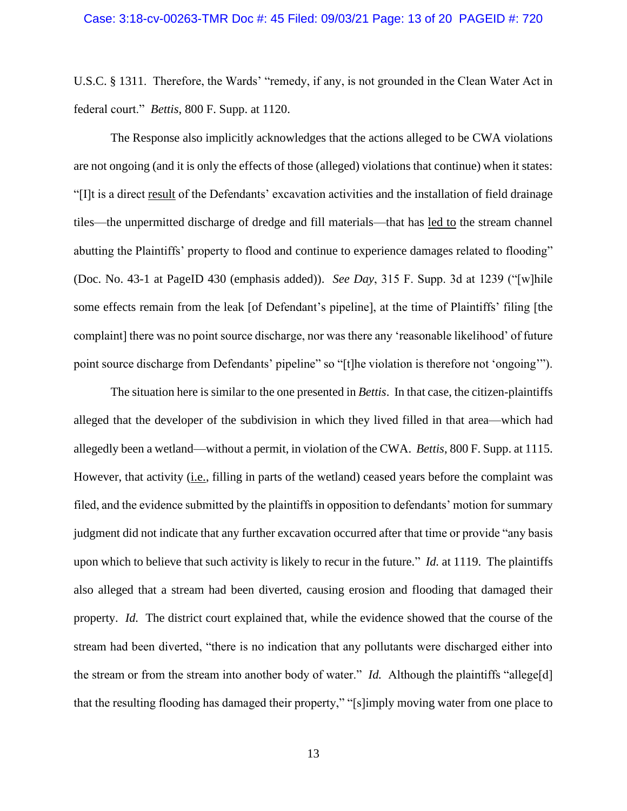U.S.C. § 1311. Therefore, the Wards' "remedy, if any, is not grounded in the Clean Water Act in federal court." *Bettis*, 800 F. Supp. at 1120.

The Response also implicitly acknowledges that the actions alleged to be CWA violations are not ongoing (and it is only the effects of those (alleged) violations that continue) when it states: "[I]t is a direct result of the Defendants' excavation activities and the installation of field drainage tiles—the unpermitted discharge of dredge and fill materials—that has led to the stream channel abutting the Plaintiffs' property to flood and continue to experience damages related to flooding" (Doc. No. 43-1 at PageID 430 (emphasis added)). *See Day*, 315 F. Supp. 3d at 1239 ("[w]hile some effects remain from the leak [of Defendant's pipeline], at the time of Plaintiffs' filing [the complaint] there was no point source discharge, nor was there any 'reasonable likelihood' of future point source discharge from Defendants' pipeline" so "[t]he violation is therefore not 'ongoing'").

The situation here is similar to the one presented in *Bettis*. In that case, the citizen-plaintiffs alleged that the developer of the subdivision in which they lived filled in that area—which had allegedly been a wetland—without a permit, in violation of the CWA. *Bettis*, 800 F. Supp. at 1115. However, that activity (i.e., filling in parts of the wetland) ceased years before the complaint was filed, and the evidence submitted by the plaintiffs in opposition to defendants' motion for summary judgment did not indicate that any further excavation occurred after that time or provide "any basis upon which to believe that such activity is likely to recur in the future." *Id.* at 1119. The plaintiffs also alleged that a stream had been diverted, causing erosion and flooding that damaged their property. *Id.* The district court explained that, while the evidence showed that the course of the stream had been diverted, "there is no indication that any pollutants were discharged either into the stream or from the stream into another body of water." *Id.* Although the plaintiffs "allege[d] that the resulting flooding has damaged their property," "[s]imply moving water from one place to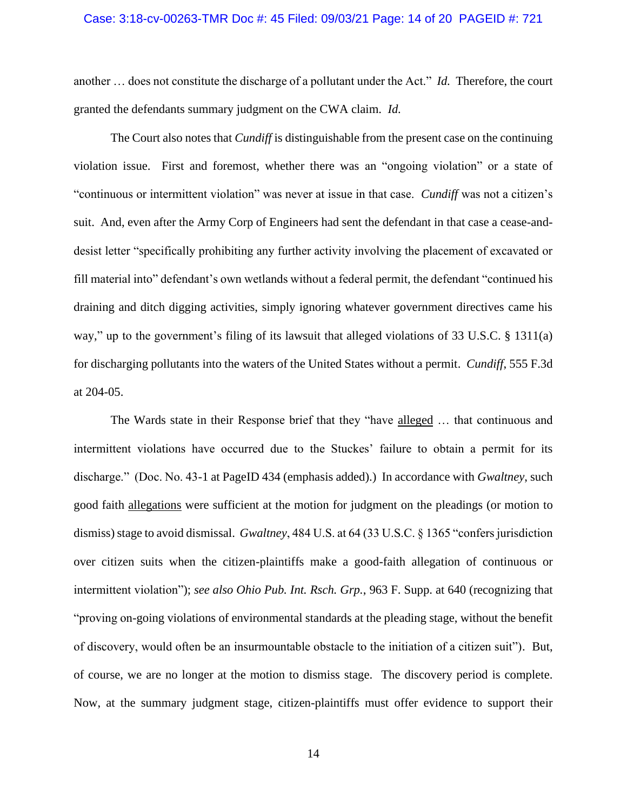### Case: 3:18-cv-00263-TMR Doc #: 45 Filed: 09/03/21 Page: 14 of 20 PAGEID #: 721

another … does not constitute the discharge of a pollutant under the Act." *Id.* Therefore, the court granted the defendants summary judgment on the CWA claim. *Id.*

The Court also notes that *Cundiff* is distinguishable from the present case on the continuing violation issue. First and foremost, whether there was an "ongoing violation" or a state of "continuous or intermittent violation" was never at issue in that case. *Cundiff* was not a citizen's suit. And, even after the Army Corp of Engineers had sent the defendant in that case a cease-anddesist letter "specifically prohibiting any further activity involving the placement of excavated or fill material into" defendant's own wetlands without a federal permit, the defendant "continued his draining and ditch digging activities, simply ignoring whatever government directives came his way," up to the government's filing of its lawsuit that alleged violations of 33 U.S.C. § 1311(a) for discharging pollutants into the waters of the United States without a permit. *Cundiff*, 555 F.3d at 204-05.

The Wards state in their Response brief that they "have alleged … that continuous and intermittent violations have occurred due to the Stuckes' failure to obtain a permit for its discharge." (Doc. No. 43-1 at PageID 434 (emphasis added).) In accordance with *Gwaltney*, such good faith allegations were sufficient at the motion for judgment on the pleadings (or motion to dismiss) stage to avoid dismissal. *Gwaltney*, 484 U.S. at 64 (33 U.S.C. § 1365 "confers jurisdiction" over citizen suits when the citizen-plaintiffs make a good-faith allegation of continuous or intermittent violation"); *see also Ohio Pub. Int. Rsch. Grp.*, 963 F. Supp. at 640 (recognizing that "proving on-going violations of environmental standards at the pleading stage, without the benefit of discovery, would often be an insurmountable obstacle to the initiation of a citizen suit"). But, of course, we are no longer at the motion to dismiss stage. The discovery period is complete. Now, at the summary judgment stage, citizen-plaintiffs must offer evidence to support their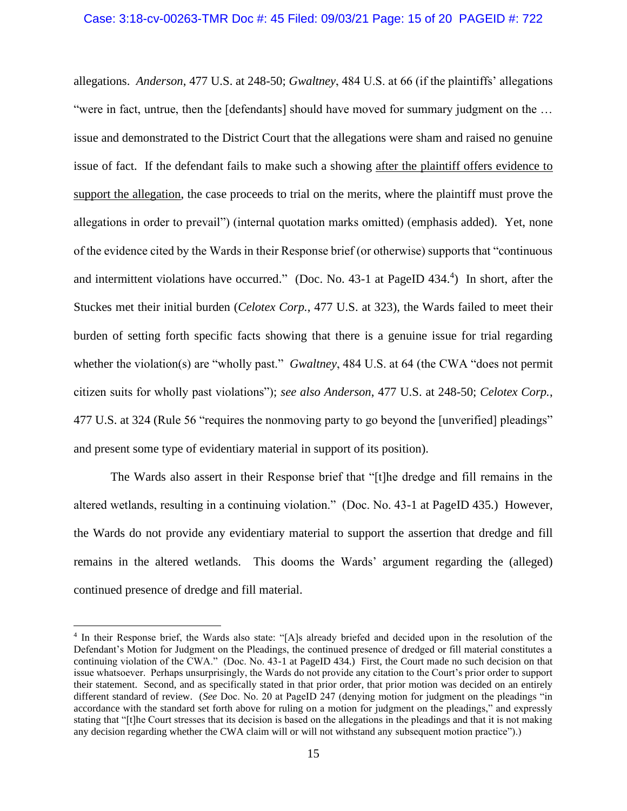allegations. *Anderson*, 477 U.S. at 248-50; *Gwaltney*, 484 U.S. at 66 (if the plaintiffs' allegations "were in fact, untrue, then the [defendants] should have moved for summary judgment on the … issue and demonstrated to the District Court that the allegations were sham and raised no genuine issue of fact. If the defendant fails to make such a showing after the plaintiff offers evidence to support the allegation, the case proceeds to trial on the merits, where the plaintiff must prove the allegations in order to prevail") (internal quotation marks omitted) (emphasis added). Yet, none of the evidence cited by the Wards in their Response brief (or otherwise) supports that "continuous and intermittent violations have occurred." (Doc. No. 43-1 at PageID  $434.^4$ ) In short, after the Stuckes met their initial burden (*Celotex Corp.*, 477 U.S. at 323), the Wards failed to meet their burden of setting forth specific facts showing that there is a genuine issue for trial regarding whether the violation(s) are "wholly past." *Gwaltney*, 484 U.S. at 64 (the CWA "does not permit citizen suits for wholly past violations"); *see also Anderson*, 477 U.S. at 248-50; *Celotex Corp.*, 477 U.S. at 324 (Rule 56 "requires the nonmoving party to go beyond the [unverified] pleadings" and present some type of evidentiary material in support of its position).

The Wards also assert in their Response brief that "[t]he dredge and fill remains in the altered wetlands, resulting in a continuing violation." (Doc. No. 43-1 at PageID 435.) However, the Wards do not provide any evidentiary material to support the assertion that dredge and fill remains in the altered wetlands. This dooms the Wards' argument regarding the (alleged) continued presence of dredge and fill material.

<sup>&</sup>lt;sup>4</sup> In their Response brief, the Wards also state: "[A]s already briefed and decided upon in the resolution of the Defendant's Motion for Judgment on the Pleadings, the continued presence of dredged or fill material constitutes a continuing violation of the CWA." (Doc. No. 43-1 at PageID 434.) First, the Court made no such decision on that issue whatsoever. Perhaps unsurprisingly, the Wards do not provide any citation to the Court's prior order to support their statement. Second, and as specifically stated in that prior order, that prior motion was decided on an entirely different standard of review. (*See* Doc. No. 20 at PageID 247 (denying motion for judgment on the pleadings "in accordance with the standard set forth above for ruling on a motion for judgment on the pleadings," and expressly stating that "[t]he Court stresses that its decision is based on the allegations in the pleadings and that it is not making any decision regarding whether the CWA claim will or will not withstand any subsequent motion practice").)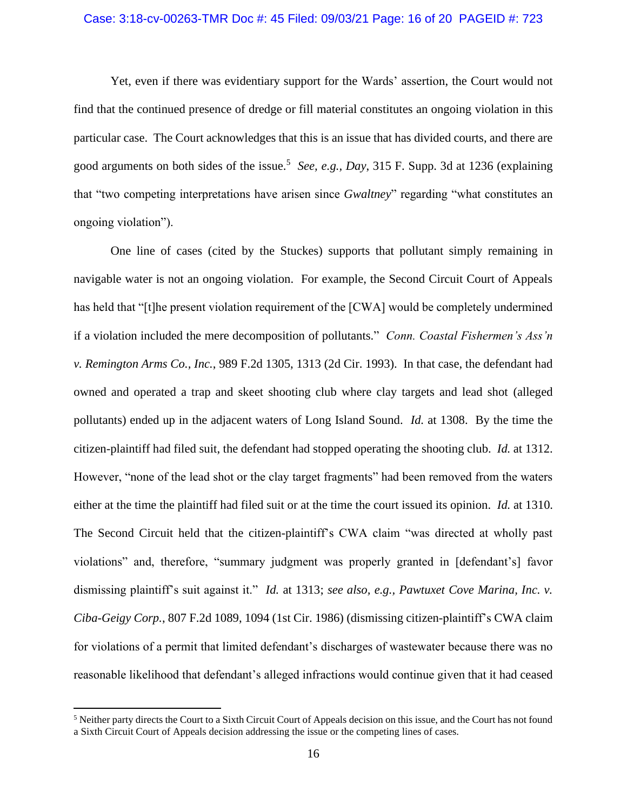### Case: 3:18-cv-00263-TMR Doc #: 45 Filed: 09/03/21 Page: 16 of 20 PAGEID #: 723

Yet, even if there was evidentiary support for the Wards' assertion, the Court would not find that the continued presence of dredge or fill material constitutes an ongoing violation in this particular case. The Court acknowledges that this is an issue that has divided courts, and there are good arguments on both sides of the issue.<sup>5</sup> See, e.g., Day, 315 F. Supp. 3d at 1236 (explaining that "two competing interpretations have arisen since *Gwaltney*" regarding "what constitutes an ongoing violation").

One line of cases (cited by the Stuckes) supports that pollutant simply remaining in navigable water is not an ongoing violation. For example, the Second Circuit Court of Appeals has held that "[t]he present violation requirement of the [CWA] would be completely undermined if a violation included the mere decomposition of pollutants." *Conn. Coastal Fishermen's Ass'n v. Remington Arms Co., Inc.*, 989 F.2d 1305, 1313 (2d Cir. 1993). In that case, the defendant had owned and operated a trap and skeet shooting club where clay targets and lead shot (alleged pollutants) ended up in the adjacent waters of Long Island Sound. *Id.* at 1308. By the time the citizen-plaintiff had filed suit, the defendant had stopped operating the shooting club. *Id.* at 1312. However, "none of the lead shot or the clay target fragments" had been removed from the waters either at the time the plaintiff had filed suit or at the time the court issued its opinion. *Id.* at 1310. The Second Circuit held that the citizen-plaintiff's CWA claim "was directed at wholly past violations" and, therefore, "summary judgment was properly granted in [defendant's] favor dismissing plaintiff's suit against it." *Id.* at 1313; *see also, e.g., Pawtuxet Cove Marina, Inc. v. Ciba-Geigy Corp.*, 807 F.2d 1089, 1094 (1st Cir. 1986) (dismissing citizen-plaintiff's CWA claim for violations of a permit that limited defendant's discharges of wastewater because there was no reasonable likelihood that defendant's alleged infractions would continue given that it had ceased

<sup>5</sup> Neither party directs the Court to a Sixth Circuit Court of Appeals decision on this issue, and the Court has not found a Sixth Circuit Court of Appeals decision addressing the issue or the competing lines of cases.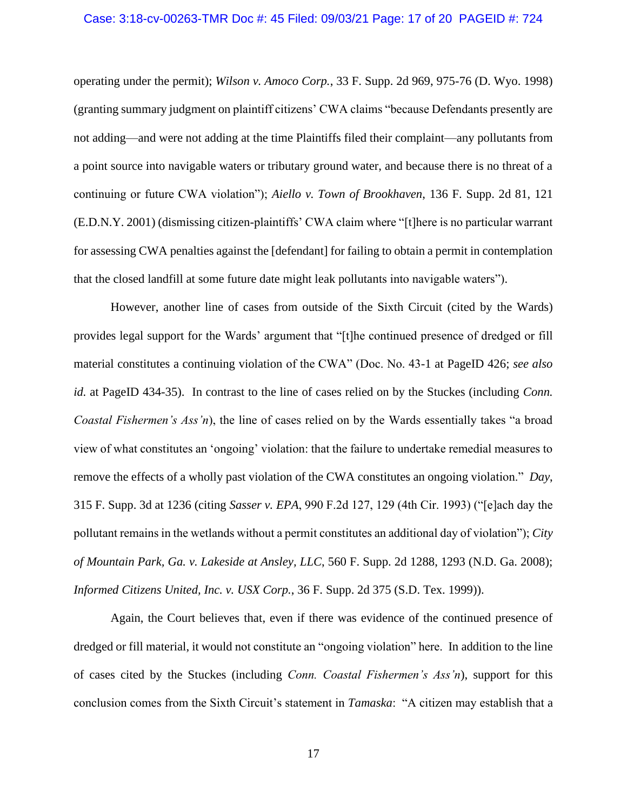### Case: 3:18-cv-00263-TMR Doc #: 45 Filed: 09/03/21 Page: 17 of 20 PAGEID #: 724

operating under the permit); *Wilson v. Amoco Corp.*, 33 F. Supp. 2d 969, 975-76 (D. Wyo. 1998) (granting summary judgment on plaintiff citizens' CWA claims "because Defendants presently are not adding—and were not adding at the time Plaintiffs filed their complaint—any pollutants from a point source into navigable waters or tributary ground water, and because there is no threat of a continuing or future CWA violation"); *Aiello v. Town of Brookhaven*, 136 F. Supp. 2d 81, 121 (E.D.N.Y. 2001) (dismissing citizen-plaintiffs' CWA claim where "[t]here is no particular warrant for assessing CWA penalties against the [defendant] for failing to obtain a permit in contemplation that the closed landfill at some future date might leak pollutants into navigable waters").

However, another line of cases from outside of the Sixth Circuit (cited by the Wards) provides legal support for the Wards' argument that "[t]he continued presence of dredged or fill material constitutes a continuing violation of the CWA" (Doc. No. 43-1 at PageID 426; *see also id.* at PageID 434-35). In contrast to the line of cases relied on by the Stuckes (including *Conn. Coastal Fishermen's Ass'n*), the line of cases relied on by the Wards essentially takes "a broad view of what constitutes an 'ongoing' violation: that the failure to undertake remedial measures to remove the effects of a wholly past violation of the CWA constitutes an ongoing violation." *Day*, 315 F. Supp. 3d at 1236 (citing *Sasser v. EPA*, 990 F.2d 127, 129 (4th Cir. 1993) ("[e]ach day the pollutant remains in the wetlands without a permit constitutes an additional day of violation"); *City of Mountain Park, Ga. v. Lakeside at Ansley, LLC*, 560 F. Supp. 2d 1288, 1293 (N.D. Ga. 2008); *Informed Citizens United, Inc. v. USX Corp.*, 36 F. Supp. 2d 375 (S.D. Tex. 1999)).

Again, the Court believes that, even if there was evidence of the continued presence of dredged or fill material, it would not constitute an "ongoing violation" here. In addition to the line of cases cited by the Stuckes (including *Conn. Coastal Fishermen's Ass'n*), support for this conclusion comes from the Sixth Circuit's statement in *Tamaska*: "A citizen may establish that a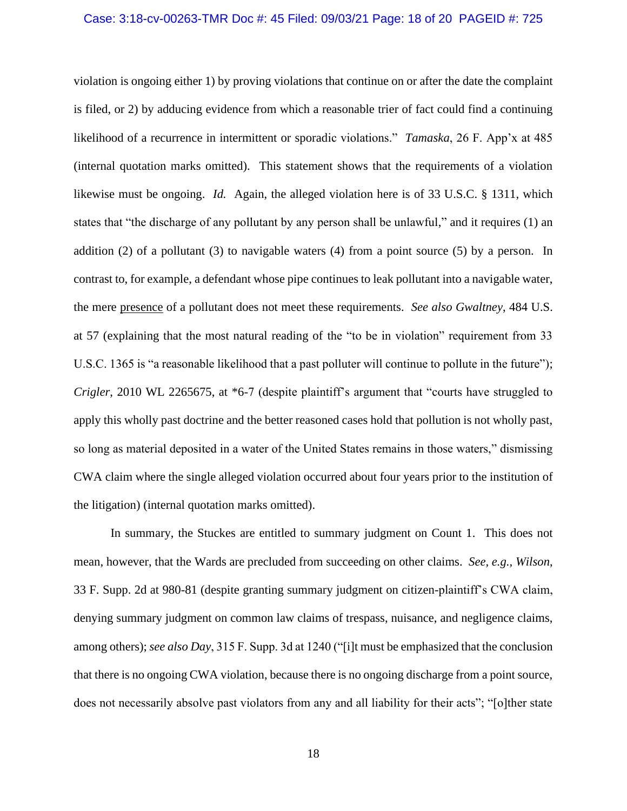### Case: 3:18-cv-00263-TMR Doc #: 45 Filed: 09/03/21 Page: 18 of 20 PAGEID #: 725

violation is ongoing either 1) by proving violations that continue on or after the date the complaint is filed, or 2) by adducing evidence from which a reasonable trier of fact could find a continuing likelihood of a recurrence in intermittent or sporadic violations." *Tamaska*, 26 F. App'x at 485 (internal quotation marks omitted). This statement shows that the requirements of a violation likewise must be ongoing. *Id.* Again, the alleged violation here is of 33 U.S.C. § 1311, which states that "the discharge of any pollutant by any person shall be unlawful," and it requires (1) an addition  $(2)$  of a pollutant  $(3)$  to navigable waters  $(4)$  from a point source  $(5)$  by a person. In contrast to, for example, a defendant whose pipe continues to leak pollutant into a navigable water, the mere presence of a pollutant does not meet these requirements. *See also Gwaltney*, 484 U.S. at 57 (explaining that the most natural reading of the "to be in violation" requirement from 33 U.S.C. 1365 is "a reasonable likelihood that a past polluter will continue to pollute in the future"); *Crigler*, 2010 WL 2265675, at \*6-7 (despite plaintiff's argument that "courts have struggled to apply this wholly past doctrine and the better reasoned cases hold that pollution is not wholly past, so long as material deposited in a water of the United States remains in those waters," dismissing CWA claim where the single alleged violation occurred about four years prior to the institution of the litigation) (internal quotation marks omitted).

In summary, the Stuckes are entitled to summary judgment on Count 1. This does not mean, however, that the Wards are precluded from succeeding on other claims. *See, e.g., Wilson*, 33 F. Supp. 2d at 980-81 (despite granting summary judgment on citizen-plaintiff's CWA claim, denying summary judgment on common law claims of trespass, nuisance, and negligence claims, among others); *see also Day*, 315 F. Supp. 3d at 1240 ("[i]t must be emphasized that the conclusion that there is no ongoing CWA violation, because there is no ongoing discharge from a point source, does not necessarily absolve past violators from any and all liability for their acts"; "[o]ther state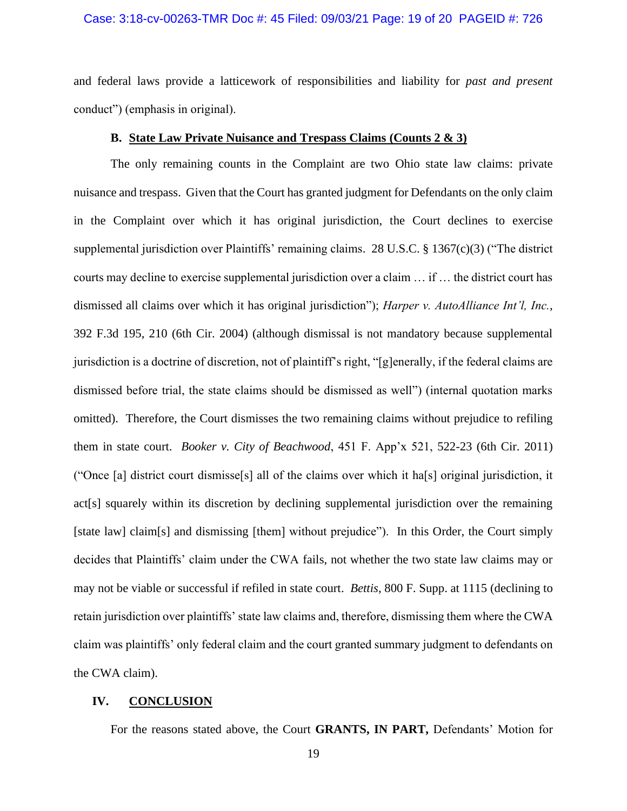### Case: 3:18-cv-00263-TMR Doc #: 45 Filed: 09/03/21 Page: 19 of 20 PAGEID #: 726

and federal laws provide a latticework of responsibilities and liability for *past and present* conduct") (emphasis in original).

## **B. State Law Private Nuisance and Trespass Claims (Counts 2 & 3)**

The only remaining counts in the Complaint are two Ohio state law claims: private nuisance and trespass. Given that the Court has granted judgment for Defendants on the only claim in the Complaint over which it has original jurisdiction, the Court declines to exercise supplemental jurisdiction over Plaintiffs' remaining claims. 28 U.S.C. § 1367(c)(3) ("The district courts may decline to exercise supplemental jurisdiction over a claim … if … the district court has dismissed all claims over which it has original jurisdiction"); *Harper v. AutoAlliance Int'l, Inc.*, 392 F.3d 195, 210 (6th Cir. 2004) (although dismissal is not mandatory because supplemental jurisdiction is a doctrine of discretion, not of plaintiff's right, "[g]enerally, if the federal claims are dismissed before trial, the state claims should be dismissed as well") (internal quotation marks omitted). Therefore, the Court dismisses the two remaining claims without prejudice to refiling them in state court. *Booker v. City of Beachwood*, 451 F. App'x 521, 522-23 (6th Cir. 2011) ("Once [a] district court dismisse[s] all of the claims over which it ha[s] original jurisdiction, it act[s] squarely within its discretion by declining supplemental jurisdiction over the remaining [state law] claim[s] and dismissing [them] without prejudice"). In this Order, the Court simply decides that Plaintiffs' claim under the CWA fails, not whether the two state law claims may or may not be viable or successful if refiled in state court. *Bettis*, 800 F. Supp. at 1115 (declining to retain jurisdiction over plaintiffs' state law claims and, therefore, dismissing them where the CWA claim was plaintiffs' only federal claim and the court granted summary judgment to defendants on the CWA claim).

### **IV. CONCLUSION**

For the reasons stated above, the Court **GRANTS, IN PART,** Defendants' Motion for